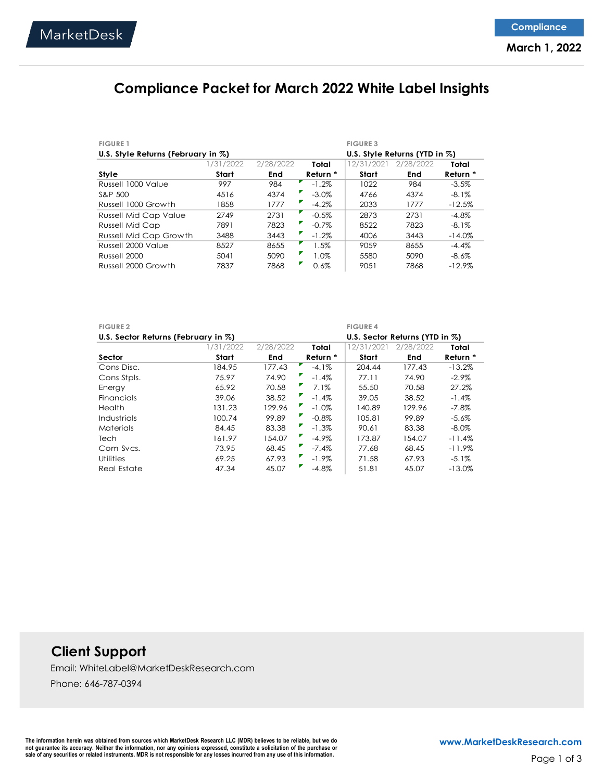## **Compliance Packet for March 2022 White Label Insights**

| <b>FIGURE 1</b>                    |           |           |          | <b>FIGURE 3</b> |                                   |           |
|------------------------------------|-----------|-----------|----------|-----------------|-----------------------------------|-----------|
| U.S. Style Returns (February in %) |           |           |          |                 | U.S. Style Returns (YTD in $\%$ ) |           |
|                                    | 1/31/2022 | 2/28/2022 | Total    | 12/31/202       | 2/28/2022                         | Total     |
| Style                              | Start     | End       | Return * | Start           | End                               | Return *  |
| Russell 1000 Value                 | 997       | 984       | $-1.2%$  | 1022            | 984                               | $-3.5%$   |
| S&P 500                            | 4516      | 4374      | $-3.0\%$ | 4766            | 4374                              | $-8.1\%$  |
| Russell 1000 Growth                | 1858      | 1777      | $-4.2\%$ | 2033            | 1777                              | $-12.5%$  |
| <b>Russell Mid Cap Value</b>       | 2749      | 2731      | $-0.5%$  | 2873            | 2731                              | $-4.8\%$  |
| <b>Russell Mid Cap</b>             | 7891      | 7823      | $-0.7\%$ | 8522            | 7823                              | $-8.1\%$  |
| <b>Russell Mid Cap Growth</b>      | 3488      | 3443      | $-1.2\%$ | 4006            | 3443                              | $-14.0\%$ |
| Russell 2000 Value                 | 8527      | 8655      | 1.5%     | 9059            | 8655                              | $-4.4%$   |
| Russell 2000                       | 5041      | 5090      | 1.0%     | 5580            | 5090                              | $-8.6\%$  |
| Russell 2000 Growth                | 7837      | 7868      | 0.6%     | 9051            | 7868                              | $-12.9%$  |

| <b>FIGURE 2</b>                     |           |            |               | <b>FIGURE 4</b> |                                    |           |
|-------------------------------------|-----------|------------|---------------|-----------------|------------------------------------|-----------|
| U.S. Sector Returns (February in %) |           |            |               |                 | U.S. Sector Returns (YTD in $\%$ ) |           |
|                                     | 1/31/2022 | 2/28/2022  | Total         | 12/31/2021      | 2/28/2022                          | Total     |
| Sector                              | Start     | <b>End</b> | Return *      | Start           | End                                | Return *  |
| Cons Disc.                          | 184.95    | 177.43     | $-4.1\%$      | 204.44          | 177.43                             | $-13.2%$  |
| Cons Stpls.                         | 75.97     | 74.90      | $-1.4%$       | 77.11           | 74.90                              | $-2.9\%$  |
| Energy                              | 65.92     | 70.58      | 7.1%          | 55.50           | 70.58                              | 27.2%     |
| <b>Financials</b>                   | 39.06     | 38.52      | $-1.4%$       | 39.05           | 38.52                              | $-1.4%$   |
| <b>Health</b>                       | 131.23    | 129.96     | $-1.0\%$      | 140.89          | 129.96                             | $-7.8\%$  |
| Industrials                         | 100.74    | 99.89      | v<br>$-0.8\%$ | 105.81          | 99.89                              | $-5.6%$   |
| Materials                           | 84.45     | 83.38      | $-1.3\%$      | 90.61           | 83.38                              | $-8.0\%$  |
| <b>Tech</b>                         | 161.97    | 154.07     | $-4.9\%$      | 173.87          | 154.07                             | $-11.4%$  |
| Com Svcs.                           | 73.95     | 68.45      | $-7.4\%$      | 77.68           | 68.45                              | $-11.9\%$ |
| <b>Utilities</b>                    | 69.25     | 67.93      | $-1.9\%$      | 71.58           | 67.93                              | $-5.1\%$  |
| Real Estate                         | 47.34     | 45.07      | $-4.8\%$      | 51.81           | 45.07                              | $-13.0\%$ |

## **Client Support**

Email: WhiteLabel@MarketDeskResearch.com Phone: 646-787-0394

The information herein was obtained from sources which MarketDesk Research LLC (MDR) believes to be reliable, but we do not guarantee its accuracy. Neither the information, nor any opinions expressed, constitute a solicitation of the purchase or<br>sale of any securities or related instruments. MDR is not responsible for any losses incurred fr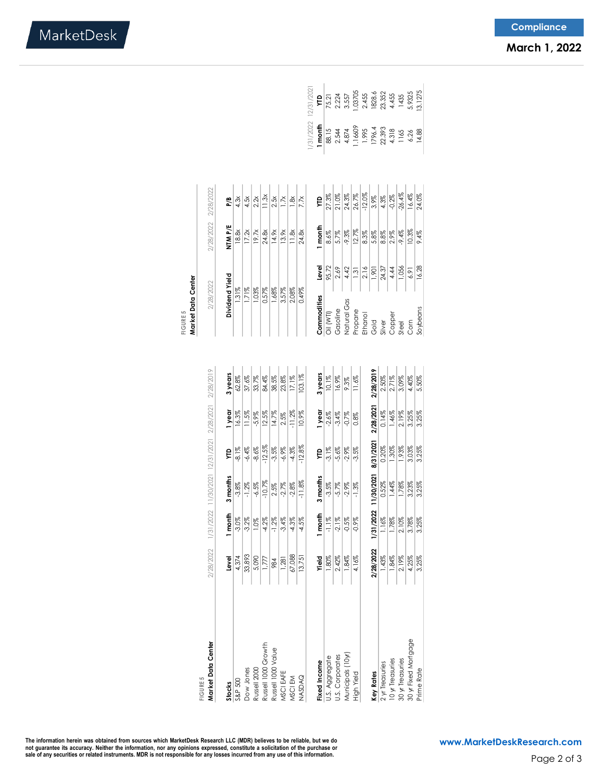|                                   |           |                                                               |                                |          |           |           | Market Data Center<br>FIGURE 5    |       |          |                     |                                           |                                   |
|-----------------------------------|-----------|---------------------------------------------------------------|--------------------------------|----------|-----------|-----------|-----------------------------------|-------|----------|---------------------|-------------------------------------------|-----------------------------------|
| <b>FIGURE 5</b>                   |           |                                                               |                                |          |           |           |                                   |       |          |                     |                                           |                                   |
| Market Data Center                |           | 2/28/2022 1/31/2022 11/30/2021 12/31/2021 2/28/2021 2/28/2019 |                                |          |           |           | 2/28/2022                         |       |          | 2/28/2022 2/28/2022 |                                           |                                   |
| <b>Stocks</b>                     | Level     | I month                                                       | months<br>m                    | ÇЦ       | I year    | 3 years   | Dividend Yield                    |       | NTM P/E  | P/B                 |                                           |                                   |
| S&P 500                           | 4,374     | $-3.0%$                                                       | $-3.8\%$                       | $-8.1%$  | 16.3%     | 62.8%     | 1.31%                             |       | 18.8x    | 4.3x                |                                           |                                   |
| Dow Jones                         | 33,893    | $-3.2\%$                                                      | $-1.2\%$                       | $-6.4\%$ | 11.5%     | 37.6%     | 1.71%                             |       | 17.2x    | 4.5x                |                                           |                                   |
| Russell 2000                      | 5,090     | 1.0%                                                          | $-6.5\%$                       | $-8.6%$  | $-5.9\%$  | 33.7%     | 1.03%                             |       | 19.7x    | 2.2x                |                                           |                                   |
| Russell 1000 Growth               | 1,777     | $-4.2%$                                                       | $-10.7%$                       | $-12.5%$ | 12.5%     | 84.4%     | 0.57%                             |       | 24.8x    | 11.3x               |                                           |                                   |
| Russell 1000 Value                | 984       | $-1.2\%$                                                      | 2.5%                           | $-3.5\%$ | 14.7%     | 38.5%     | 1.68%                             |       | 14.9x    | 2.5x                |                                           |                                   |
| MSCI EAFE                         | 1,281     | $-3.4%$                                                       | $-2.7%$                        | $-6.9\%$ | 2.5%      | $23.8\%$  | 3.57%                             |       | 13.9x    | 1.7x                |                                           |                                   |
| MSCI EM                           | 67,088    | $-4.3%$                                                       | $-2.8\%$                       | $-4.3\%$ | $-11.2%$  | 17.1%     | 2.08%                             |       | 11.8x    | 1.8x                |                                           |                                   |
| NASDAQ                            | 13,751    | $-4.5\%$                                                      | $-11.8%$                       | $-12.8%$ | 10.9%     | 103.1%    | 0.49%                             |       | 24.8x    | 7.7x                |                                           |                                   |
|                                   |           |                                                               |                                |          |           |           |                                   |       |          |                     |                                           | 1/31/2022 12/31/2021              |
| Fixed Income                      | Yield     | I month                                                       | months<br>m                    | ÎК       | 1 year    | 3 years   | Commodities                       | Level | 1 month  | Ê                   | l month                                   | ξ                                 |
|                                   | 1.80%     | $-1.1\%$                                                      | $-3.5\%$                       | $-3.1\%$ | $-2.6%$   | 10.1%     | Oil (WTI)                         | 95.72 | $8.6\%$  | 27.3%               | 88.15                                     | 75.21                             |
| U.S. Aggregate<br>U.S. Corporates | 2.42%     | $-2.1\%$                                                      | $-5.7%$                        | $-5.6%$  | $-3.4%$   | 16.9%     | Gasoline                          | 2.69  | 5.7%     | 21.0%               | 2.544                                     |                                   |
| Municipals (10y                   | 1.84%     | $-0.5%$                                                       | $-2.9\%$                       | $-2.9%$  | $-0.7%$   | 9.3%      |                                   | 4.42  | $-9.3\%$ | 24.3%               | 4.874                                     | 2.224<br>3.557                    |
| High Yield                        | 4.16%     | $-0.9\%$                                                      | $-1.3%$                        | $-3.5\%$ | 0.8%      | 11.6%     | Natural Gas<br>Propane<br>Ethanol | 1.31  | 12.7%    | 26.7%               | 1.16609                                   | 1.03705                           |
|                                   |           |                                                               |                                |          |           |           |                                   | 2.16  | 8.3%     | $-12.0%$            |                                           |                                   |
| <b>Key Rates</b>                  | 2/28/2022 |                                                               | 1/31/2022 11/30/2021 8/31/2021 |          | 2/28/2021 | 2/28/2019 |                                   | 1,901 | 5.8%     | 3.9%                |                                           |                                   |
| 2 yr Treasuries                   | 1.43%     | 1.16%                                                         | 0.52%                          | 0.20%    | 0.14%     | 2.50%     |                                   | 24.37 | 8.8%     | 4.3%                |                                           |                                   |
| 10 yr Treasuries                  | 1.84%     | 1.78%                                                         | 1.44%                          | 1.30%    | 1.46%     | 2.71%     | Gold<br>Silver<br>Copper<br>Steel | 4.44  | 2.9%     | $-0.2\%$            | 1796.4<br>22.393<br>4.318<br>1165<br>6.26 | 1828.6<br>23.352<br>4.455<br>1435 |
| 30 yr Treasuries                  | 2.19%     | 2.10%                                                         | 1.78%                          | 1.93%    | 2.19%     | 3.09%     |                                   | 1,056 | $-9.4%$  | $-26.4%$            |                                           |                                   |
| 30 yr Fixed Mortgage              | 4.25%     | 3.78%                                                         | 3.23%                          | 3.03%    | 3.25%     | 4.40%     | Com                               | 6.91  | 10.3%    | 16.4%               |                                           | 5.9325                            |
| Prime Rate                        | 3.25%     | 3.25%                                                         | 3.25%                          | 3.25%    | 3.25%     | 5.50%     | Soybeans                          | 16.28 | 9.4%     | 24.0%               | 14.88                                     | 13.1275                           |
|                                   |           |                                                               |                                |          |           |           |                                   |       |          |                     |                                           |                                   |

MarketDesk

The information herein was obtained from sources which MarketDesk Research LLC (MDR) believes to be reliable, but we do<br>not guarantee its accuracy. Neither the information, nor any opinions expressed, constitute a solicita